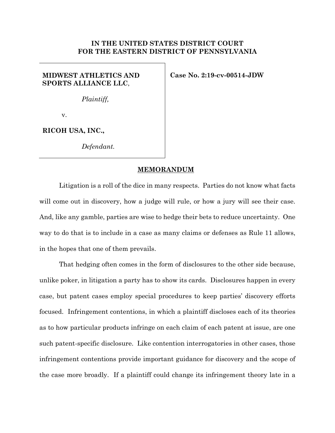## **IN THE UNITED STATES DISTRICT COURT FOR THE EASTERN DISTRICT OF PENNSYLVANIA**

# **MIDWEST ATHLETICS AND SPORTS ALLIANCE LLC**,

**Case No. 2:19-cv-00514-JDW** 

*Plaintiff,* 

v.

**RICOH USA, INC.,** 

*Defendant.*

## **MEMORANDUM**

Litigation is a roll of the dice in many respects. Parties do not know what facts will come out in discovery, how a judge will rule, or how a jury will see their case. And, like any gamble, parties are wise to hedge their bets to reduce uncertainty. One way to do that is to include in a case as many claims or defenses as Rule 11 allows, in the hopes that one of them prevails.

That hedging often comes in the form of disclosures to the other side because, unlike poker, in litigation a party has to show its cards. Disclosures happen in every case, but patent cases employ special procedures to keep parties' discovery efforts focused. Infringement contentions, in which a plaintiff discloses each of its theories as to how particular products infringe on each claim of each patent at issue, are one such patent-specific disclosure. Like contention interrogatories in other cases, those infringement contentions provide important guidance for discovery and the scope of the case more broadly. If a plaintiff could change its infringement theory late in a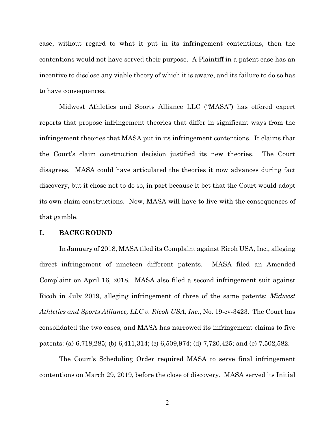case, without regard to what it put in its infringement contentions, then the contentions would not have served their purpose. A Plaintiff in a patent case has an incentive to disclose any viable theory of which it is aware, and its failure to do so has to have consequences.

Midwest Athletics and Sports Alliance LLC ("MASA") has offered expert reports that propose infringement theories that differ in significant ways from the infringement theories that MASA put in its infringement contentions. It claims that the Court's claim construction decision justified its new theories. The Court disagrees. MASA could have articulated the theories it now advances during fact discovery, but it chose not to do so, in part because it bet that the Court would adopt its own claim constructions. Now, MASA will have to live with the consequences of that gamble.

## **I. BACKGROUND**

In January of 2018, MASA filed its Complaint against Ricoh USA, Inc., alleging direct infringement of nineteen different patents. MASA filed an Amended Complaint on April 16, 2018. MASA also filed a second infringement suit against Ricoh in July 2019, alleging infringement of three of the same patents: *Midwest Athletics and Sports Alliance, LLC v. Ricoh USA, Inc.*, No. 19-cv-3423. The Court has consolidated the two cases, and MASA has narrowed its infringement claims to five patents: (a) 6,718,285; (b) 6,411,314; (c) 6,509,974; (d) 7,720,425; and (e) 7,502,582.

The Court's Scheduling Order required MASA to serve final infringement contentions on March 29, 2019, before the close of discovery. MASA served its Initial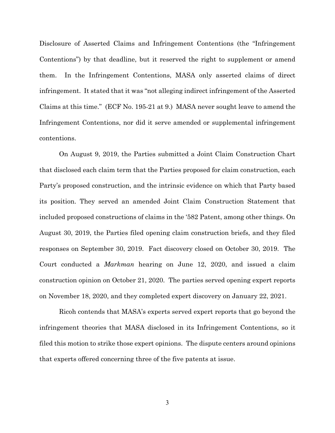Disclosure of Asserted Claims and Infringement Contentions (the "Infringement Contentions") by that deadline, but it reserved the right to supplement or amend them. In the Infringement Contentions, MASA only asserted claims of direct infringement. It stated that it was "not alleging indirect infringement of the Asserted Claims at this time." (ECF No. 195-21 at 9.) MASA never sought leave to amend the Infringement Contentions, nor did it serve amended or supplemental infringement contentions.

On August 9, 2019, the Parties submitted a Joint Claim Construction Chart that disclosed each claim term that the Parties proposed for claim construction, each Party's proposed construction, and the intrinsic evidence on which that Party based its position. They served an amended Joint Claim Construction Statement that included proposed constructions of claims in the '582 Patent, among other things. On August 30, 2019, the Parties filed opening claim construction briefs, and they filed responses on September 30, 2019. Fact discovery closed on October 30, 2019. The Court conducted a *Markman* hearing on June 12, 2020, and issued a claim construction opinion on October 21, 2020. The parties served opening expert reports on November 18, 2020, and they completed expert discovery on January 22, 2021.

Ricoh contends that MASA's experts served expert reports that go beyond the infringement theories that MASA disclosed in its Infringement Contentions, so it filed this motion to strike those expert opinions. The dispute centers around opinions that experts offered concerning three of the five patents at issue.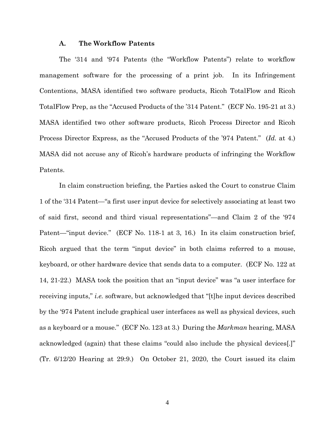## **A. The Workflow Patents**

The '314 and '974 Patents (the "Workflow Patents") relate to workflow management software for the processing of a print job. In its Infringement Contentions, MASA identified two software products, Ricoh TotalFlow and Ricoh TotalFlow Prep, as the "Accused Products of the '314 Patent." (ECF No. 195-21 at 3.) MASA identified two other software products, Ricoh Process Director and Ricoh Process Director Express, as the "Accused Products of the '974 Patent." (*Id.* at 4.) MASA did not accuse any of Ricoh's hardware products of infringing the Workflow Patents.

In claim construction briefing, the Parties asked the Court to construe Claim 1 of the '314 Patent—"a first user input device for selectively associating at least two of said first, second and third visual representations"—and Claim 2 of the '974 Patent—"input device." (ECF No. 118-1 at 3, 16.) In its claim construction brief, Ricoh argued that the term "input device" in both claims referred to a mouse, keyboard, or other hardware device that sends data to a computer. (ECF No. 122 at 14, 21-22.) MASA took the position that an "input device" was "a user interface for receiving inputs," *i.e.* software, but acknowledged that "[t]he input devices described by the '974 Patent include graphical user interfaces as well as physical devices, such as a keyboard or a mouse." (ECF No. 123 at 3.) During the *Markman* hearing, MASA acknowledged (again) that these claims "could also include the physical devices[.]" (Tr. 6/12/20 Hearing at 29:9.) On October 21, 2020, the Court issued its claim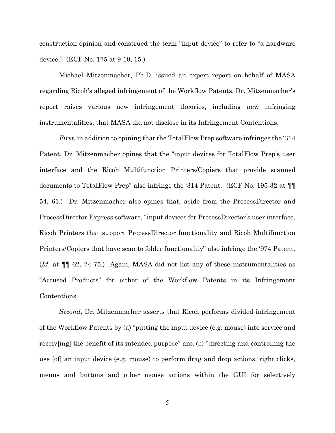construction opinion and construed the term "input device" to refer to "a hardware device." (ECF No. 175 at 9-10, 15.)

Michael Mitzenmacher, Ph.D. issued an expert report on behalf of MASA regarding Ricoh's alleged infringement of the Workflow Patents. Dr. Mitzenmacher's report raises various new infringement theories, including new infringing instrumentalities, that MASA did not disclose in its Infringement Contentions.

*First*, in addition to opining that the TotalFlow Prep software infringes the '314 Patent, Dr. Mitzenmacher opines that the "input devices for TotalFlow Prep's user interface and the Ricoh Multifunction Printers/Copiers that provide scanned documents to TotalFlow Prep" also infringe the '314 Patent. (ECF No. 195-32 at ¶¶ 54, 61.) Dr. Mitzenmacher also opines that, aside from the ProcessDirector and ProcessDirector Express software, "input devices for ProcessDirector's user interface, Ricoh Printers that support ProcessDirector functionality and Ricoh Multifunction Printers/Copiers that have scan to folder functionality" also infringe the '974 Patent. (*Id.* at ¶¶ 62, 74-75.) Again, MASA did not list any of these instrumentalities as "Accused Products" for either of the Workflow Patents in its Infringement Contentions.

*Second*, Dr. Mitzenmacher asserts that Ricoh performs divided infringement of the Workflow Patents by (a) "putting the input device (e.g. mouse) into service and receiv[ing] the benefit of its intended purpose" and (b) "directing and controlling the use [of] an input device (e.g. mouse) to perform drag and drop actions, right clicks, menus and buttons and other mouse actions within the GUI for selectively

5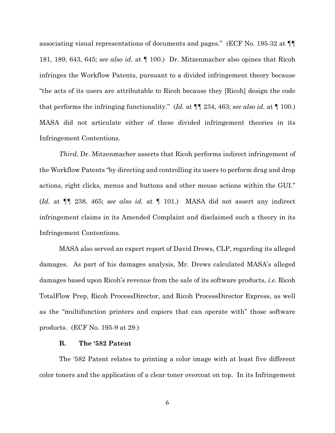associating visual representations of documents and pages." (ECF No. 195-32 at ¶¶ 181, 189, 643, 645; *see also id.* at ¶ 100.) Dr. Mitzenmacher also opines that Ricoh infringes the Workflow Patents, pursuant to a divided infringement theory because "the acts of its users are attributable to Ricoh because they [Ricoh] design the code that performs the infringing functionality." (*Id.* at ¶¶ 234, 463; *see also id.* at ¶ 100.) MASA did not articulate either of these divided infringement theories in its Infringement Contentions.

*Third*, Dr. Mitzenmacher asserts that Ricoh performs indirect infringement of the Workflow Patents "by directing and controlling its users to perform drag and drop actions, right clicks, menus and buttons and other mouse actions within the GUI." (*Id.* at ¶¶ 238, 465; *see also id.* at ¶ 101.) MASA did not assert any indirect infringement claims in its Amended Complaint and disclaimed such a theory in its Infringement Contentions.

MASA also served an expert report of David Drews, CLP, regarding its alleged damages. As part of his damages analysis, Mr. Drews calculated MASA's alleged damages based upon Ricoh's revenue from the sale of its software products, *i.e.* Ricoh TotalFlow Prep, Ricoh ProcessDirector, and Ricoh ProcessDirector Express, as well as the "multifunction printers and copiers that can operate with" those software products. (ECF No. 195-9 at 29.)

#### **B. The '582 Patent**

The '582 Patent relates to printing a color image with at least five different color toners and the application of a clear toner overcoat on top. In its Infringement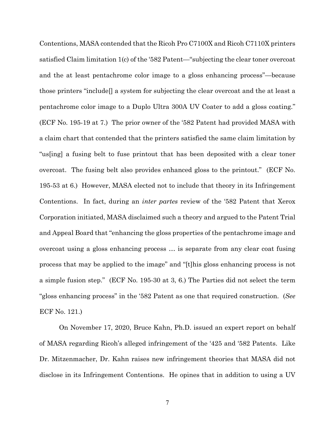Contentions, MASA contended that the Ricoh Pro C7100X and Ricoh C7110X printers satisfied Claim limitation 1(c) of the '582 Patent—"subjecting the clear toner overcoat and the at least pentachrome color image to a gloss enhancing process"—because those printers "include[] a system for subjecting the clear overcoat and the at least a pentachrome color image to a Duplo Ultra 300A UV Coater to add a gloss coating." (ECF No. 195-19 at 7.) The prior owner of the '582 Patent had provided MASA with a claim chart that contended that the printers satisfied the same claim limitation by "us[ing] a fusing belt to fuse printout that has been deposited with a clear toner overcoat. The fusing belt also provides enhanced gloss to the printout." (ECF No. 195-53 at 6.) However, MASA elected not to include that theory in its Infringement Contentions. In fact, during an *inter partes* review of the '582 Patent that Xerox Corporation initiated, MASA disclaimed such a theory and argued to the Patent Trial and Appeal Board that "enhancing the gloss properties of the pentachrome image and overcoat using a gloss enhancing process … is separate from any clear coat fusing process that may be applied to the image" and "[t]his gloss enhancing process is not a simple fusion step." (ECF No. 195-30 at 3, 6.) The Parties did not select the term "gloss enhancing process" in the '582 Patent as one that required construction. (*See* ECF No. 121.)

On November 17, 2020, Bruce Kahn, Ph.D. issued an expert report on behalf of MASA regarding Ricoh's alleged infringement of the '425 and '582 Patents. Like Dr. Mitzenmacher, Dr. Kahn raises new infringement theories that MASA did not disclose in its Infringement Contentions. He opines that in addition to using a UV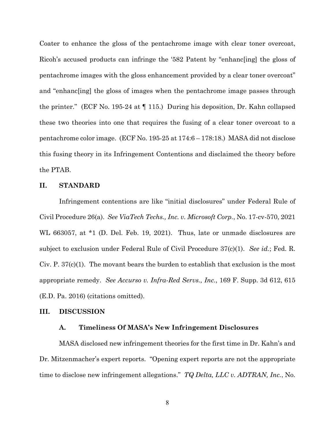Coater to enhance the gloss of the pentachrome image with clear toner overcoat, Ricoh's accused products can infringe the '582 Patent by "enhanc[ing] the gloss of pentachrome images with the gloss enhancement provided by a clear toner overcoat" and "enhanc[ing] the gloss of images when the pentachrome image passes through the printer." (ECF No. 195-24 at ¶ 115.) During his deposition, Dr. Kahn collapsed these two theories into one that requires the fusing of a clear toner overcoat to a pentachrome color image. (ECF No. 195-25 at 174:6 – 178:18.) MASA did not disclose this fusing theory in its Infringement Contentions and disclaimed the theory before the PTAB.

## **II. STANDARD**

Infringement contentions are like "initial disclosures" under Federal Rule of Civil Procedure 26(a). *See ViaTech Techs., Inc. v. Microsoft Corp.*, No. 17-cv-570, 2021 WL 663057, at \*1 (D. Del. Feb. 19, 2021). Thus, late or unmade disclosures are subject to exclusion under Federal Rule of Civil Procedure 37(c)(1). *See id.*; Fed. R. Civ. P. 37(c)(1). The movant bears the burden to establish that exclusion is the most appropriate remedy. *See Accurso v. Infra-Red Servs., Inc.*, 169 F. Supp. 3d 612, 615 (E.D. Pa. 2016) (citations omitted).

### **III. DISCUSSION**

## **A. Timeliness Of MASA's New Infringement Disclosures**

MASA disclosed new infringement theories for the first time in Dr. Kahn's and Dr. Mitzenmacher's expert reports. "Opening expert reports are not the appropriate time to disclose new infringement allegations." *TQ Delta, LLC v. ADTRAN, Inc.*, No.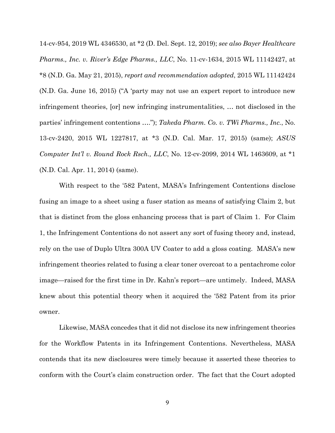14-cv-954, 2019 WL 4346530, at \*2 (D. Del. Sept. 12, 2019); *see also Bayer Healthcare Pharms., Inc. v. River's Edge Pharms., LLC*, No. 11-cv-1634, 2015 WL 11142427, at \*8 (N.D. Ga. May 21, 2015), *report and recommendation adopted*, 2015 WL 11142424 (N.D. Ga. June 16, 2015) ("A 'party may not use an expert report to introduce new infringement theories, [or] new infringing instrumentalities, … not disclosed in the parties' infringement contentions …."); *Takeda Pharm. Co. v. TWi Pharms., Inc.*, No. 13-cv-2420, 2015 WL 1227817, at \*3 (N.D. Cal. Mar. 17, 2015) (same); *ASUS Computer Int'l v. Round Rock Rsch., LLC*, No. 12-cv-2099, 2014 WL 1463609, at \*1 (N.D. Cal. Apr. 11, 2014) (same).

With respect to the '582 Patent, MASA's Infringement Contentions disclose fusing an image to a sheet using a fuser station as means of satisfying Claim 2, but that is distinct from the gloss enhancing process that is part of Claim 1. For Claim 1, the Infringement Contentions do not assert any sort of fusing theory and, instead, rely on the use of Duplo Ultra 300A UV Coater to add a gloss coating. MASA's new infringement theories related to fusing a clear toner overcoat to a pentachrome color image—raised for the first time in Dr. Kahn's report—are untimely. Indeed, MASA knew about this potential theory when it acquired the '582 Patent from its prior owner.

 Likewise, MASA concedes that it did not disclose its new infringement theories for the Workflow Patents in its Infringement Contentions. Nevertheless, MASA contends that its new disclosures were timely because it asserted these theories to conform with the Court's claim construction order. The fact that the Court adopted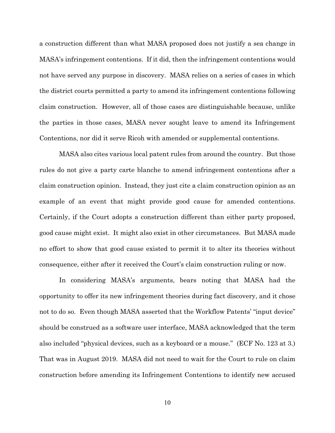a construction different than what MASA proposed does not justify a sea change in MASA's infringement contentions. If it did, then the infringement contentions would not have served any purpose in discovery. MASA relies on a series of cases in which the district courts permitted a party to amend its infringement contentions following claim construction. However, all of those cases are distinguishable because, unlike the parties in those cases, MASA never sought leave to amend its Infringement Contentions, nor did it serve Ricoh with amended or supplemental contentions.

MASA also cites various local patent rules from around the country. But those rules do not give a party carte blanche to amend infringement contentions after a claim construction opinion. Instead, they just cite a claim construction opinion as an example of an event that might provide good cause for amended contentions. Certainly, if the Court adopts a construction different than either party proposed, good cause might exist. It might also exist in other circumstances. But MASA made no effort to show that good cause existed to permit it to alter its theories without consequence, either after it received the Court's claim construction ruling or now.

In considering MASA's arguments, bears noting that MASA had the opportunity to offer its new infringement theories during fact discovery, and it chose not to do so. Even though MASA asserted that the Workflow Patents' "input device" should be construed as a software user interface, MASA acknowledged that the term also included "physical devices, such as a keyboard or a mouse." (ECF No. 123 at 3.) That was in August 2019. MASA did not need to wait for the Court to rule on claim construction before amending its Infringement Contentions to identify new accused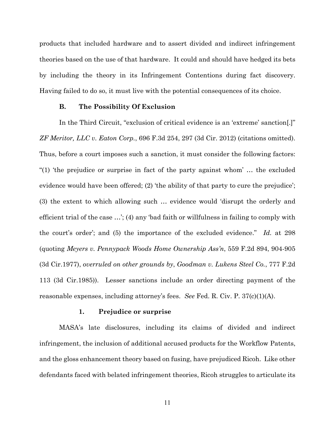products that included hardware and to assert divided and indirect infringement theories based on the use of that hardware. It could and should have hedged its bets by including the theory in its Infringement Contentions during fact discovery. Having failed to do so, it must live with the potential consequences of its choice.

## **B. The Possibility Of Exclusion**

In the Third Circuit, "exclusion of critical evidence is an 'extreme' sanction[.]" *ZF Meritor, LLC v. Eaton Corp.*, 696 F.3d 254, 297 (3d Cir. 2012) (citations omitted). Thus, before a court imposes such a sanction, it must consider the following factors: "(1) 'the prejudice or surprise in fact of the party against whom' … the excluded evidence would have been offered; (2) 'the ability of that party to cure the prejudice'; (3) the extent to which allowing such … evidence would 'disrupt the orderly and efficient trial of the case …'; (4) any 'bad faith or willfulness in failing to comply with the court's order'; and (5) the importance of the excluded evidence." *Id.* at 298 (quoting *Meyers v. Pennypack Woods Home Ownership Ass'n*, 559 F.2d 894, 904-905 (3d Cir.1977), *overruled on other grounds by*, *Goodman v. Lukens Steel Co.*, 777 F.2d 113 (3d Cir.1985)). Lesser sanctions include an order directing payment of the reasonable expenses, including attorney's fees. *See* Fed. R. Civ. P. 37(c)(1)(A).

## **1. Prejudice or surprise**

MASA's late disclosures, including its claims of divided and indirect infringement, the inclusion of additional accused products for the Workflow Patents, and the gloss enhancement theory based on fusing, have prejudiced Ricoh. Like other defendants faced with belated infringement theories, Ricoh struggles to articulate its

11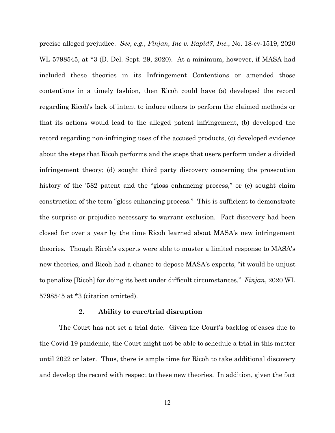precise alleged prejudice. *See, e.g.*, *Finjan, Inc v. Rapid7, Inc.*, No. 18-cv-1519, 2020 WL 5798545, at \*3 (D. Del. Sept. 29, 2020). At a minimum, however, if MASA had included these theories in its Infringement Contentions or amended those contentions in a timely fashion, then Ricoh could have (a) developed the record regarding Ricoh's lack of intent to induce others to perform the claimed methods or that its actions would lead to the alleged patent infringement, (b) developed the record regarding non-infringing uses of the accused products, (c) developed evidence about the steps that Ricoh performs and the steps that users perform under a divided infringement theory; (d) sought third party discovery concerning the prosecution history of the '582 patent and the "gloss enhancing process," or (e) sought claim construction of the term "gloss enhancing process." This is sufficient to demonstrate the surprise or prejudice necessary to warrant exclusion. Fact discovery had been closed for over a year by the time Ricoh learned about MASA's new infringement theories. Though Ricoh's experts were able to muster a limited response to MASA's new theories, and Ricoh had a chance to depose MASA's experts, "it would be unjust to penalize [Ricoh] for doing its best under difficult circumstances." *Finjan*, 2020 WL 5798545 at \*3 (citation omitted).

#### **2. Ability to cure/trial disruption**

The Court has not set a trial date. Given the Court's backlog of cases due to the Covid-19 pandemic, the Court might not be able to schedule a trial in this matter until 2022 or later. Thus, there is ample time for Ricoh to take additional discovery and develop the record with respect to these new theories. In addition, given the fact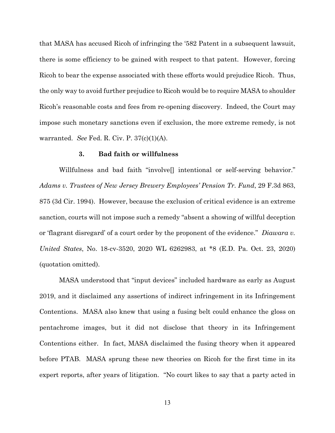that MASA has accused Ricoh of infringing the '582 Patent in a subsequent lawsuit, there is some efficiency to be gained with respect to that patent. However, forcing Ricoh to bear the expense associated with these efforts would prejudice Ricoh. Thus, the only way to avoid further prejudice to Ricoh would be to require MASA to shoulder Ricoh's reasonable costs and fees from re-opening discovery. Indeed, the Court may impose such monetary sanctions even if exclusion, the more extreme remedy, is not warranted. *See* Fed. R. Civ. P. 37(c)(1)(A).

## **3. Bad faith or willfulness**

Willfulness and bad faith "involve[] intentional or self-serving behavior." *Adams v. Trustees of New Jersey Brewery Employees' Pension Tr. Fund*, 29 F.3d 863, 875 (3d Cir. 1994). However, because the exclusion of critical evidence is an extreme sanction, courts will not impose such a remedy "absent a showing of willful deception or 'flagrant disregard' of a court order by the proponent of the evidence." *Diawara v. United States*, No. 18-cv-3520, 2020 WL 6262983, at \*8 (E.D. Pa. Oct. 23, 2020) (quotation omitted).

MASA understood that "input devices" included hardware as early as August 2019, and it disclaimed any assertions of indirect infringement in its Infringement Contentions. MASA also knew that using a fusing belt could enhance the gloss on pentachrome images, but it did not disclose that theory in its Infringement Contentions either. In fact, MASA disclaimed the fusing theory when it appeared before PTAB. MASA sprung these new theories on Ricoh for the first time in its expert reports, after years of litigation. "No court likes to say that a party acted in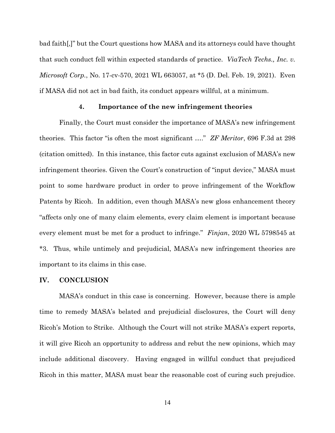bad faith[,]" but the Court questions how MASA and its attorneys could have thought that such conduct fell within expected standards of practice. *ViaTech Techs., Inc. v. Microsoft Corp.*, No. 17-cv-570, 2021 WL 663057, at \*5 (D. Del. Feb. 19, 2021). Even if MASA did not act in bad faith, its conduct appears willful, at a minimum.

## **4. Importance of the new infringement theories**

Finally, the Court must consider the importance of MASA's new infringement theories. This factor "is often the most significant …." *ZF Meritor*, 696 F.3d at 298 (citation omitted). In this instance, this factor cuts against exclusion of MASA's new infringement theories. Given the Court's construction of "input device," MASA must point to some hardware product in order to prove infringement of the Workflow Patents by Ricoh. In addition, even though MASA's new gloss enhancement theory "affects only one of many claim elements, every claim element is important because every element must be met for a product to infringe." *Finjan*, 2020 WL 5798545 at \*3. Thus, while untimely and prejudicial, MASA's new infringement theories are important to its claims in this case.

## **IV. CONCLUSION**

MASA's conduct in this case is concerning. However, because there is ample time to remedy MASA's belated and prejudicial disclosures, the Court will deny Ricoh's Motion to Strike. Although the Court will not strike MASA's expert reports, it will give Ricoh an opportunity to address and rebut the new opinions, which may include additional discovery. Having engaged in willful conduct that prejudiced Ricoh in this matter, MASA must bear the reasonable cost of curing such prejudice.